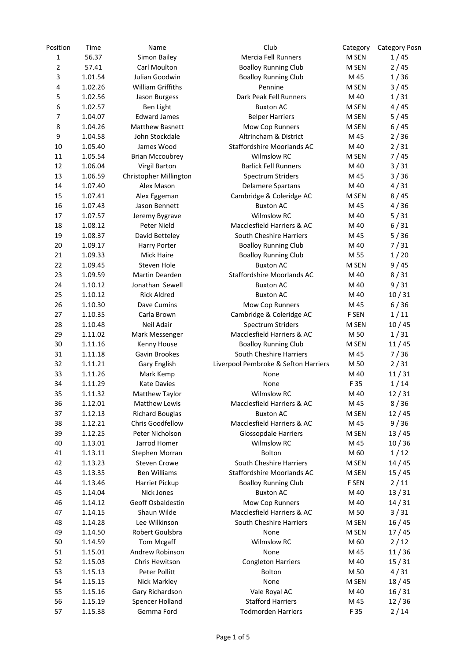| Position    | Time               | Name                     | Club                                 | Category       | <b>Category Posn</b> |
|-------------|--------------------|--------------------------|--------------------------------------|----------------|----------------------|
| $\mathbf 1$ | 56.37              | Simon Bailey             | Mercia Fell Runners                  | M SEN          | 1/45                 |
| 2           | 57.41              | Carl Moulton             | <b>Boalloy Running Club</b>          | M SEN          | 2/45                 |
| 3           | 1.01.54            | Julian Goodwin           | <b>Boalloy Running Club</b>          | M 45           | 1/36                 |
| 4           | 1.02.26            | <b>William Griffiths</b> | Pennine                              | M SEN          | 3/45                 |
| 5           | 1.02.56            | Jason Burgess            | Dark Peak Fell Runners               | M 40           | 1/31                 |
| 6           | 1.02.57            | <b>Ben Light</b>         | <b>Buxton AC</b>                     | M SEN          | 4/45                 |
| 7           | 1.04.07            | <b>Edward James</b>      | <b>Belper Harriers</b>               | M SEN          | 5/45                 |
| 8           | 1.04.26            | <b>Matthew Basnett</b>   | Mow Cop Runners                      | M SEN          | 6/45                 |
| 9           | 1.04.58            | John Stockdale           | Altrincham & District                | M 45           | 2/36                 |
| 10          | 1.05.40            | James Wood               | Staffordshire Moorlands AC           | M 40           | 2/31                 |
| 11          | 1.05.54            | <b>Brian Mccoubrey</b>   | <b>Wilmslow RC</b>                   | M SEN          | 7/45                 |
| 12          | 1.06.04            | Virgil Barton            | <b>Barlick Fell Runners</b>          | M 40           | 3/31                 |
| 13          | 1.06.59            | Christopher Millington   | Spectrum Striders                    | M 45           | 3/36                 |
| 14          | 1.07.40            | Alex Mason               | Delamere Spartans                    | M 40           | 4/31                 |
| 15          | 1.07.41            | Alex Eggeman             | Cambridge & Coleridge AC             | M SEN          | 8/45                 |
| 16          | 1.07.43            | Jason Bennett            | <b>Buxton AC</b>                     | M 45           | 4/36                 |
| 17          | 1.07.57            | Jeremy Bygrave           | <b>Wilmslow RC</b>                   | M 40           | 5/31                 |
| 18          | 1.08.12            | Peter Nield              | Macclesfield Harriers & AC           | M 40           | 6/31                 |
| 19          | 1.08.37            | David Betteley           | South Cheshire Harriers              | M 45           | 5/36                 |
| 20          | 1.09.17            | Harry Porter             | <b>Boalloy Running Club</b>          | M 40           | 7/31                 |
| 21          | 1.09.33            | <b>Mick Haire</b>        | <b>Boalloy Running Club</b>          | M 55           | 1/20                 |
| 22          | 1.09.45            | Steven Hole              | <b>Buxton AC</b>                     | M SEN          | 9/45                 |
| 23          | 1.09.59            | Martin Dearden           | Staffordshire Moorlands AC           | M 40           | 8/31                 |
| 24          | 1.10.12            | Jonathan Sewell          | <b>Buxton AC</b>                     | M 40           | 9/31                 |
| 25          | 1.10.12            | <b>Rick Aldred</b>       | <b>Buxton AC</b>                     | M 40           | 10/31                |
| 26          | 1.10.30            | Dave Cumins              | Mow Cop Runners                      | M 45           | 6/36                 |
| 27          | 1.10.35            | Carla Brown              | Cambridge & Coleridge AC             | F SEN          | 1/11                 |
| 28          | 1.10.48            | Neil Adair               | Spectrum Striders                    | M SEN          | 10/45                |
| 29          | 1.11.02            | Mark Messenger           | Macclesfield Harriers & AC           | M 50           | 1/31                 |
| 30          | 1.11.16            | Kenny House              | <b>Boalloy Running Club</b>          | M SEN          | 11/45                |
| 31          | 1.11.18            | Gavin Brookes            | South Cheshire Harriers              | M 45           | 7/36                 |
| 32          | 1.11.21            | Gary English             | Liverpool Pembroke & Sefton Harriers | M 50           | 2/31                 |
| 33          | 1.11.26            | Mark Kemp                | None                                 | M 40           | 11/31                |
| 34          | 1.11.29            | <b>Kate Davies</b>       | None                                 | F 35           | 1/14                 |
| 35          | 1.11.32            | Matthew Taylor           | Wilmslow RC                          | M 40           | 12/31                |
| 36          | 1.12.01            | <b>Matthew Lewis</b>     | Macclesfield Harriers & AC           | M 45           | 8/36                 |
| 37          | 1.12.13            | <b>Richard Bouglas</b>   | <b>Buxton AC</b>                     | M SEN          | 12/45                |
| 38          | 1.12.21            | Chris Goodfellow         | Macclesfield Harriers & AC           | M 45           | 9/36                 |
| 39          | 1.12.25            | Peter Nicholson          | <b>Glossopdale Harriers</b>          | M SEN          | 13/45                |
| 40          | 1.13.01            | Jarrod Homer             | Wilmslow RC                          | M 45           | 10/36                |
| 41          | 1.13.11            | Stephen Morran           | <b>Bolton</b>                        | M 60           | 1/12                 |
| 42          | 1.13.23            | <b>Steven Crowe</b>      | South Cheshire Harriers              | M SEN          | 14/45                |
| 43          |                    | <b>Ben Williams</b>      | Staffordshire Moorlands AC           |                | 15/45                |
| 44          | 1.13.35<br>1.13.46 | Harriet Pickup           | <b>Boalloy Running Club</b>          | M SEN<br>F SEN | 2/11                 |
|             |                    | <b>Nick Jones</b>        | <b>Buxton AC</b>                     | M 40           |                      |
| 45          | 1.14.04            | Geoff Osbaldestin        |                                      |                | 13/31                |
| 46          | 1.14.12            |                          | Mow Cop Runners                      | M 40           | 14/31                |
| 47          | 1.14.15            | Shaun Wilde              | Macclesfield Harriers & AC           | M 50           | 3/31                 |
| 48          | 1.14.28            | Lee Wilkinson            | South Cheshire Harriers              | M SEN          | 16/45                |
| 49          | 1.14.50            | Robert Goulsbra          | None                                 | M SEN          | 17/45                |
| 50          | 1.14.59            | Tom Mcgaff               | Wilmslow RC                          | M 60           | 2/12                 |
| 51          | 1.15.01            | Andrew Robinson          | None                                 | M 45           | 11/36                |
| 52          | 1.15.03            | Chris Hewitson           | <b>Congleton Harriers</b>            | M 40           | 15/31                |
| 53          | 1.15.13            | Peter Pollitt            | <b>Bolton</b>                        | M 50           | 4/31                 |
| 54          | 1.15.15            | Nick Markley             | None                                 | M SEN          | 18/45                |
| 55          | 1.15.16            | Gary Richardson          | Vale Royal AC                        | M 40           | 16/31                |
| 56          | 1.15.19            | Spencer Holland          | <b>Stafford Harriers</b>             | M 45           | 12/36                |
| 57          | 1.15.38            | Gemma Ford               | <b>Todmorden Harriers</b>            | F 35           | 2/14                 |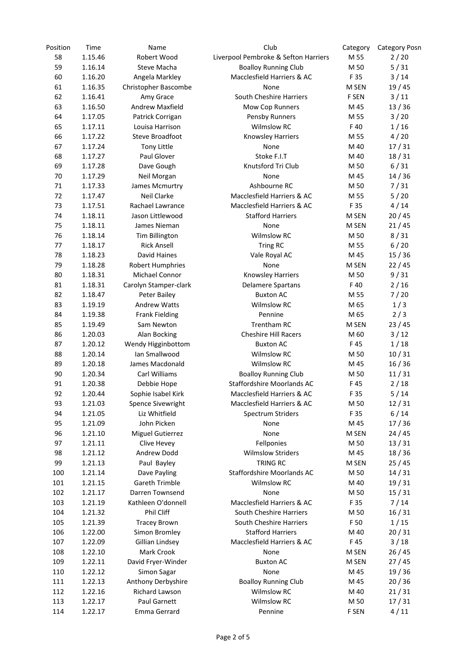| Position | Time               | Name                                | Club                                 | Category     | <b>Category Posn</b> |
|----------|--------------------|-------------------------------------|--------------------------------------|--------------|----------------------|
| 58       | 1.15.46            | Robert Wood                         | Liverpool Pembroke & Sefton Harriers | M 55         | 2/20                 |
| 59       | 1.16.14            | Steve Macha                         | <b>Boalloy Running Club</b>          | M 50         | 5/31                 |
| 60       | 1.16.20            | Angela Markley                      | Macclesfield Harriers & AC           | F 35         | 3/14                 |
| 61       | 1.16.35            | Christopher Bascombe                | None                                 | M SEN        | 19 / 45              |
| 62       | 1.16.41            | Amy Grace                           | South Cheshire Harriers              | F SEN        | $3/11$               |
| 63       | 1.16.50            | <b>Andrew Maxfield</b>              | Mow Cop Runners                      | M 45         | 13/36                |
| 64       | 1.17.05            | Patrick Corrigan                    | Pensby Runners                       | M 55         | 3/20                 |
| 65       | 1.17.11            | Louisa Harrison                     | <b>Wilmslow RC</b>                   | F40          | 1/16                 |
| 66       | 1.17.22            | <b>Steve Broadfoot</b>              | Knowsley Harriers                    | M 55         | 4/20                 |
| 67       | 1.17.24            | <b>Tony Little</b>                  | None                                 | M 40         | 17/31                |
| 68       | 1.17.27            | Paul Glover                         | Stoke F.I.T                          | M 40         | 18/31                |
| 69       | 1.17.28            | Dave Gough                          | Knutsford Tri Club                   | M 50         | 6/31                 |
| 70       | 1.17.29            | Neil Morgan                         | None                                 | M 45         | 14/36                |
| 71       | 1.17.33            | James Mcmurtry                      | Ashbourne RC                         | M 50         | 7/31                 |
| 72       | 1.17.47            | Neil Clarke                         | Macclesfield Harriers & AC           | M 55         | 5/20                 |
| 73       | 1.17.51            | Rachael Lawrance                    | Macclesfield Harriers & AC           | F 35         | 4/14                 |
| 74       | 1.18.11            | Jason Littlewood                    | <b>Stafford Harriers</b>             | M SEN        | 20/45                |
| 75       | 1.18.11            | James Nieman                        | None                                 | M SEN        | 21/45                |
| 76       | 1.18.14            | Tim Billington                      | Wilmslow RC                          | M 50         | 8/31                 |
| 77       | 1.18.17            | <b>Rick Ansell</b>                  | Tring RC                             | M 55         | 6/20                 |
| 78       | 1.18.23            | David Haines                        | Vale Royal AC                        | M 45         | 15/36                |
| 79       | 1.18.28            | Robert Humphries                    | None                                 | M SEN        | 22/45                |
| 80       | 1.18.31            | Michael Connor                      | Knowsley Harriers                    | M 50         | 9/31                 |
| 81       | 1.18.31            | Carolyn Stamper-clark               | Delamere Spartans                    | F 40         | 2/16                 |
| 82       | 1.18.47            | Peter Bailey                        | <b>Buxton AC</b>                     | M 55         | 7/20                 |
| 83       | 1.19.19            | <b>Andrew Watts</b>                 | <b>Wilmslow RC</b>                   | M 65         | 1/3                  |
| 84       |                    |                                     | Pennine                              | M 65         | 2/3                  |
| 85       | 1.19.38<br>1.19.49 | <b>Frank Fielding</b><br>Sam Newton | Trentham RC                          | M SEN        | 23/45                |
| 86       |                    |                                     | <b>Cheshire Hill Racers</b>          |              |                      |
| 87       | 1.20.03            | Alan Bocking                        |                                      | M 60         | $3/12$               |
|          | 1.20.12            | Wendy Higginbottom                  | <b>Buxton AC</b>                     | F 45         | 1/18                 |
| 88       | 1.20.14            | Ian Smallwood                       | <b>Wilmslow RC</b>                   | M 50<br>M 45 | 10/31                |
| 89       | 1.20.18            | James Macdonald                     | <b>Wilmslow RC</b>                   |              | 16/36                |
| 90       | 1.20.34            | Carl Williams                       | <b>Boalloy Running Club</b>          | M 50         | 11/31                |
| 91       | 1.20.38            | Debbie Hope                         | <b>Staffordshire Moorlands AC</b>    | F 45         | 2/18                 |
| 92       | 1.20.44            | Sophie Isabel Kirk                  | Macclesfield Harriers & AC           | F 35         | 5/14                 |
| 93       | 1.21.03            | Spence Sivewright                   | Macclesfield Harriers & AC           | M 50         | 12/31                |
| 94       | 1.21.05            | Liz Whitfield                       | Spectrum Striders                    | F 35         | $6/14$               |
| 95       | 1.21.09            | John Picken                         | None                                 | M 45         | 17/36                |
| 96       | 1.21.10            | <b>Miguel Gutierrez</b>             | None                                 | M SEN        | 24 / 45              |
| 97       | 1.21.11            | Clive Hevey                         | Fellponies                           | M 50         | 13/31                |
| 98       | 1.21.12            | Andrew Dodd                         | <b>Wilmslow Striders</b>             | M 45         | 18/36                |
| 99       | 1.21.13            | Paul Bayley                         | TRING RC                             | M SEN        | 25/45                |
| 100      | 1.21.14            | Dave Payling                        | Staffordshire Moorlands AC           | M 50         | 14/31                |
| 101      | 1.21.15            | <b>Gareth Trimble</b>               | Wilmslow RC                          | M 40         | 19/31                |
| 102      | 1.21.17            | Darren Townsend                     | None                                 | M 50         | 15/31                |
| 103      | 1.21.19            | Kathleen O'donnell                  | Macclesfield Harriers & AC           | F 35         | 7/14                 |
| 104      | 1.21.32            | Phil Cliff                          | South Cheshire Harriers              | M 50         | 16/31                |
| 105      | 1.21.39            | <b>Tracey Brown</b>                 | South Cheshire Harriers              | F 50         | 1/15                 |
| 106      | 1.22.00            | Simon Bromley                       | <b>Stafford Harriers</b>             | M 40         | 20/31                |
| 107      | 1.22.09            | Gillian Lindsey                     | Macclesfield Harriers & AC           | F 45         | $3/18$               |
| 108      | 1.22.10            | Mark Crook                          | None                                 | M SEN        | 26/45                |
| 109      | 1.22.11            | David Fryer-Winder                  | <b>Buxton AC</b>                     | M SEN        | 27/45                |
| 110      | 1.22.12            | Simon Sagar                         | None                                 | M 45         | 19/36                |
| 111      | 1.22.13            | Anthony Derbyshire                  | <b>Boalloy Running Club</b>          | M 45         | 20/36                |
| 112      | 1.22.16            | Richard Lawson                      | <b>Wilmslow RC</b>                   | M 40         | 21/31                |
| 113      | 1.22.17            | Paul Garnett                        | <b>Wilmslow RC</b>                   | M 50         | 17/31                |
| 114      | 1.22.17            | Emma Gerrard                        | Pennine                              | F SEN        | 4/11                 |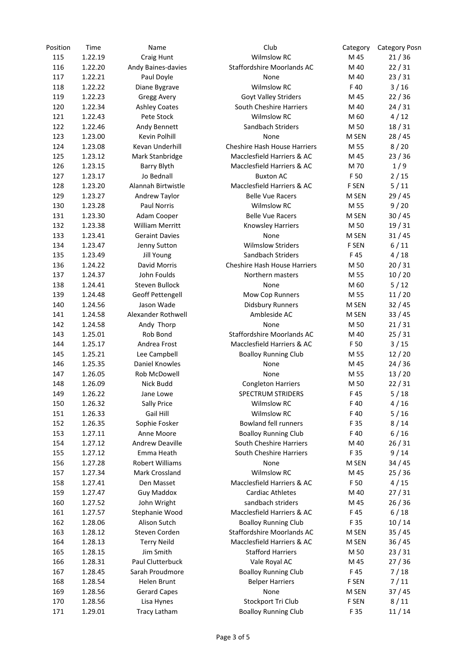| Position | Time    | Name                   | Club                                | Category | <b>Category Posn</b> |
|----------|---------|------------------------|-------------------------------------|----------|----------------------|
| 115      | 1.22.19 | Craig Hunt             | <b>Wilmslow RC</b>                  | M 45     | 21/36                |
| 116      | 1.22.20 | Andy Baines-davies     | <b>Staffordshire Moorlands AC</b>   | M 40     | 22/31                |
| 117      | 1.22.21 | Paul Doyle             | None                                | M 40     | 23/31                |
| 118      | 1.22.22 | Diane Bygrave          | <b>Wilmslow RC</b>                  | F40      | $3/16$               |
| 119      | 1.22.23 | Gregg Avery            | Goyt Valley Striders                | M 45     | 22/36                |
| 120      | 1.22.34 | <b>Ashley Coates</b>   | South Cheshire Harriers             | M 40     | 24/31                |
| 121      | 1.22.43 | Pete Stock             | <b>Wilmslow RC</b>                  | M 60     | 4/12                 |
| 122      | 1.22.46 | Andy Bennett           | Sandbach Striders                   | M 50     | 18/31                |
| 123      | 1.23.00 | Kevin Polhill          | None                                | M SEN    | 28/45                |
| 124      | 1.23.08 | Kevan Underhill        | <b>Cheshire Hash House Harriers</b> | M 55     | 8/20                 |
| 125      | 1.23.12 | Mark Stanbridge        | Macclesfield Harriers & AC          | M 45     | 23/36                |
| 126      | 1.23.15 | <b>Barry Blyth</b>     | Macclesfield Harriers & AC          | M 70     | 1/9                  |
| 127      | 1.23.17 | Jo Bednall             | <b>Buxton AC</b>                    | F 50     | 2/15                 |
| 128      | 1.23.20 | Alannah Birtwistle     | Macclesfield Harriers & AC          | F SEN    | 5/11                 |
| 129      | 1.23.27 | Andrew Taylor          | <b>Belle Vue Racers</b>             | M SEN    | 29/45                |
| 130      | 1.23.28 | <b>Paul Norris</b>     | <b>Wilmslow RC</b>                  |          | 9/20                 |
|          |         |                        |                                     | M 55     |                      |
| 131      | 1.23.30 | Adam Cooper            | <b>Belle Vue Racers</b>             | M SEN    | 30/45                |
| 132      | 1.23.38 | <b>William Merritt</b> | Knowsley Harriers                   | M 50     | 19/31                |
| 133      | 1.23.41 | <b>Geraint Davies</b>  | None                                | M SEN    | 31/45                |
| 134      | 1.23.47 | Jenny Sutton           | <b>Wilmslow Striders</b>            | F SEN    | 6/11                 |
| 135      | 1.23.49 | Jill Young             | Sandbach Striders                   | F45      | 4/18                 |
| 136      | 1.24.22 | David Morris           | <b>Cheshire Hash House Harriers</b> | M 50     | 20/31                |
| 137      | 1.24.37 | John Foulds            | Northern masters                    | M 55     | 10/20                |
| 138      | 1.24.41 | Steven Bullock         | None                                | M 60     | 5/12                 |
| 139      | 1.24.48 | Geoff Pettengell       | Mow Cop Runners                     | M 55     | 11/20                |
| 140      | 1.24.56 | Jason Wade             | <b>Didsbury Runners</b>             | M SEN    | 32/45                |
| 141      | 1.24.58 | Alexander Rothwell     | Ambleside AC                        | M SEN    | 33/45                |
| 142      | 1.24.58 | Andy Thorp             | None                                | M 50     | 21/31                |
| 143      | 1.25.01 | Rob Bond               | Staffordshire Moorlands AC          | M 40     | 25/31                |
| 144      | 1.25.17 | Andrea Frost           | Macclesfield Harriers & AC          | F 50     | $3/15$               |
| 145      | 1.25.21 | Lee Campbell           | <b>Boalloy Running Club</b>         | M 55     | 12/20                |
| 146      | 1.25.35 | Daniel Knowles         | None                                | M 45     | 24/36                |
| 147      | 1.26.05 | Rob McDowell           | None                                | M 55     | 13/20                |
| 148      | 1.26.09 | Nick Budd              | <b>Congleton Harriers</b>           | M 50     | 22/31                |
| 149      | 1.26.22 | Jane Lowe              | <b>SPECTRUM STRIDERS</b>            | F45      | 5/18                 |
| 150      | 1.26.32 | <b>Sally Price</b>     | <b>Wilmslow RC</b>                  | F 40     | 4/16                 |
| 151      | 1.26.33 | Gail Hill              | <b>Wilmslow RC</b>                  | F 40     | 5/16                 |
| 152      | 1.26.35 | Sophie Fosker          | <b>Bowland fell runners</b>         | F 35     | 8/14                 |
| 153      | 1.27.11 | Anne Moore             | <b>Boalloy Running Club</b>         | F 40     | $6/16$               |
| 154      | 1.27.12 | <b>Andrew Deaville</b> | South Cheshire Harriers             | M 40     | 26/31                |
| 155      | 1.27.12 | Emma Heath             | South Cheshire Harriers             | F 35     | 9/14                 |
| 156      | 1.27.28 | Robert Williams        | None                                | M SEN    | 34/45                |
| 157      | 1.27.34 | Mark Crossland         | <b>Wilmslow RC</b>                  | M 45     | 25/36                |
| 158      | 1.27.41 | Den Masset             | Macclesfield Harriers & AC          | F 50     | 4/15                 |
| 159      | 1.27.47 | <b>Guy Maddox</b>      | <b>Cardiac Athletes</b>             | M 40     | 27/31                |
| 160      | 1.27.52 | John Wright            | sandbach striders                   | M 45     | 26/36                |
| 161      | 1.27.57 | Stephanie Wood         | Macclesfield Harriers & AC          | F 45     | 6/18                 |
|          |         |                        |                                     |          |                      |
| 162      | 1.28.06 | Alison Sutch           | <b>Boalloy Running Club</b>         | F 35     | 10/14                |
| 163      | 1.28.12 | Steven Corden          | Staffordshire Moorlands AC          | M SEN    | 35/45                |
| 164      | 1.28.13 | <b>Terry Neild</b>     | Macclesfield Harriers & AC          | M SEN    | 36/45                |
| 165      | 1.28.15 | Jim Smith              | <b>Stafford Harriers</b>            | M 50     | 23/31                |
| 166      | 1.28.31 | Paul Clutterbuck       | Vale Royal AC                       | M 45     | 27/36                |
| 167      | 1.28.45 | Sarah Proudmore        | <b>Boalloy Running Club</b>         | F 45     | 7/18                 |
| 168      | 1.28.54 | Helen Brunt            | <b>Belper Harriers</b>              | F SEN    | 7/11                 |
| 169      | 1.28.56 | <b>Gerard Capes</b>    | None                                | M SEN    | 37/45                |
| 170      | 1.28.56 | Lisa Hynes             | Stockport Tri Club                  | F SEN    | 8/11                 |
| 171      | 1.29.01 | <b>Tracy Latham</b>    | <b>Boalloy Running Club</b>         | F 35     | 11/14                |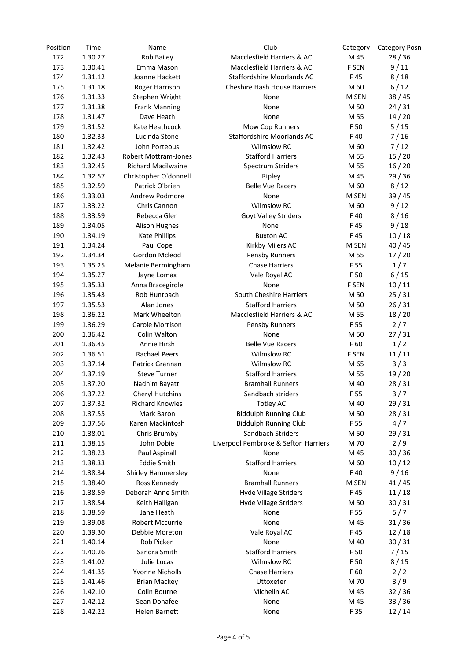| Position | Time    | Name                        | Club                                 | Category | <b>Category Posn</b> |
|----------|---------|-----------------------------|--------------------------------------|----------|----------------------|
| 172      | 1.30.27 | Rob Bailey                  | Macclesfield Harriers & AC           | M 45     | 28/36                |
| 173      | 1.30.41 | Emma Mason                  | Macclesfield Harriers & AC           | F SEN    | 9/11                 |
| 174      | 1.31.12 | Joanne Hackett              | Staffordshire Moorlands AC           | F45      | 8/18                 |
| 175      | 1.31.18 | Roger Harrison              | <b>Cheshire Hash House Harriers</b>  | M 60     | 6/12                 |
| 176      | 1.31.33 | Stephen Wright              | None                                 | M SEN    | 38/45                |
| 177      | 1.31.38 | <b>Frank Manning</b>        | None                                 | M 50     | 24/31                |
| 178      | 1.31.47 | Dave Heath                  | None                                 | M 55     | 14/20                |
| 179      | 1.31.52 | Kate Heathcock              | Mow Cop Runners                      | F 50     | 5/15                 |
| 180      | 1.32.33 | Lucinda Stone               | Staffordshire Moorlands AC           | F40      | 7/16                 |
| 181      | 1.32.42 | John Porteous               | <b>Wilmslow RC</b>                   | M 60     | 7/12                 |
| 182      | 1.32.43 | <b>Robert Mottram-Jones</b> | <b>Stafford Harriers</b>             | M 55     | 15/20                |
| 183      | 1.32.45 | <b>Richard Macilwaine</b>   | Spectrum Striders                    | M 55     | 16/20                |
| 184      | 1.32.57 | Christopher O'donnell       | Ripley                               | M 45     | 29/36                |
| 185      | 1.32.59 | Patrick O'brien             | <b>Belle Vue Racers</b>              | M 60     | 8/12                 |
| 186      | 1.33.03 | Andrew Podmore              | None                                 | M SEN    | 39 / 45              |
| 187      | 1.33.22 | Chris Cannon                | <b>Wilmslow RC</b>                   | M 60     | 9/12                 |
| 188      | 1.33.59 | Rebecca Glen                | Goyt Valley Striders                 | F40      | 8/16                 |
| 189      | 1.34.05 | <b>Alison Hughes</b>        | None                                 | F45      | 9/18                 |
| 190      | 1.34.19 | <b>Kate Phillips</b>        | <b>Buxton AC</b>                     | F45      | 10/18                |
| 191      | 1.34.24 | Paul Cope                   | Kirkby Milers AC                     | M SEN    | 40/45                |
| 192      | 1.34.34 | Gordon Mcleod               | Pensby Runners                       | M 55     | 17/20                |
| 193      | 1.35.25 | Melanie Bermingham          | <b>Chase Harriers</b>                | F 55     | 1/7                  |
| 194      | 1.35.27 | Jayne Lomax                 | Vale Royal AC                        | F 50     | 6/15                 |
| 195      | 1.35.33 | Anna Bracegirdle            | None                                 | F SEN    | 10/11                |
| 196      | 1.35.43 | Rob Huntbach                | South Cheshire Harriers              | M 50     | 25/31                |
| 197      | 1.35.53 | Alan Jones                  | <b>Stafford Harriers</b>             | M 50     | 26/31                |
| 198      | 1.36.22 | Mark Wheelton               | Macclesfield Harriers & AC           | M 55     | 18/20                |
| 199      | 1.36.29 | Carole Morrison             | Pensby Runners                       | F 55     | 2/7                  |
| 200      | 1.36.42 | Colin Walton                | None                                 | M 50     | 27/31                |
| 201      | 1.36.45 | Annie Hirsh                 | <b>Belle Vue Racers</b>              | F 60     | 1/2                  |
| 202      | 1.36.51 | <b>Rachael Peers</b>        | <b>Wilmslow RC</b>                   | F SEN    | 11/11                |
| 203      | 1.37.14 | Patrick Grannan             | <b>Wilmslow RC</b>                   | M 65     | 3/3                  |
| 204      | 1.37.19 | <b>Steve Turner</b>         | <b>Stafford Harriers</b>             | M 55     | 19/20                |
| 205      | 1.37.20 | Nadhim Bayatti              | <b>Bramhall Runners</b>              | M 40     | 28/31                |
| 206      | 1.37.22 | <b>Cheryl Hutchins</b>      | Sandbach striders                    | F 55     | 3/7                  |
| 207      | 1.37.32 | <b>Richard Knowles</b>      | Totley AC                            | M 40     | 29 / 31              |
| 208      | 1.37.55 | Mark Baron                  | <b>Biddulph Running Club</b>         | M 50     | 28/31                |
| 209      | 1.37.56 | Karen Mackintosh            | <b>Biddulph Running Club</b>         | F 55     | 4/7                  |
| 210      | 1.38.01 | Chris Brumby                | Sandbach Striders                    | M 50     | 29/31                |
| 211      | 1.38.15 | John Dobie                  | Liverpool Pembroke & Sefton Harriers | M 70     | 2/9                  |
| 212      | 1.38.23 | Paul Aspinall               | None                                 | M 45     | 30/36                |
| 213      | 1.38.33 | <b>Eddie Smith</b>          | <b>Stafford Harriers</b>             | M 60     | 10/12                |
| 214      | 1.38.34 | Shirley Hammersley          | None                                 | F 40     | 9/16                 |
| 215      | 1.38.40 | Ross Kennedy                | <b>Bramhall Runners</b>              | M SEN    | 41/45                |
| 216      | 1.38.59 | Deborah Anne Smith          | <b>Hyde Village Striders</b>         | F 45     | 11/18                |
| 217      | 1.38.54 | Keith Halligan              | <b>Hyde Village Striders</b>         | M 50     | 30/31                |
| 218      | 1.38.59 | Jane Heath                  | None                                 | F 55     | 5/7                  |
| 219      | 1.39.08 | Robert Mccurrie             | None                                 | M 45     | 31/36                |
| 220      | 1.39.30 | Debbie Moreton              | Vale Royal AC                        | F 45     | 12/18                |
| 221      | 1.40.14 | Rob Picken                  | None                                 | M 40     | 30/31                |
| 222      | 1.40.26 | Sandra Smith                | <b>Stafford Harriers</b>             | F 50     | 7/15                 |
| 223      | 1.41.02 | Julie Lucas                 | Wilmslow RC                          | F 50     | 8/15                 |
| 224      | 1.41.35 | Yvonne Nicholls             | <b>Chase Harriers</b>                | F 60     | 2/2                  |
| 225      | 1.41.46 | <b>Brian Mackey</b>         | Uttoxeter                            | M 70     | 3/9                  |
| 226      | 1.42.10 | Colin Bourne                | Michelin AC                          | M 45     | 32/36                |
| 227      | 1.42.12 | Sean Donafee                | None                                 | M 45     | 33/36                |
| 228      | 1.42.22 | Helen Barnett               | None                                 | F 35     | 12/14                |
|          |         |                             |                                      |          |                      |